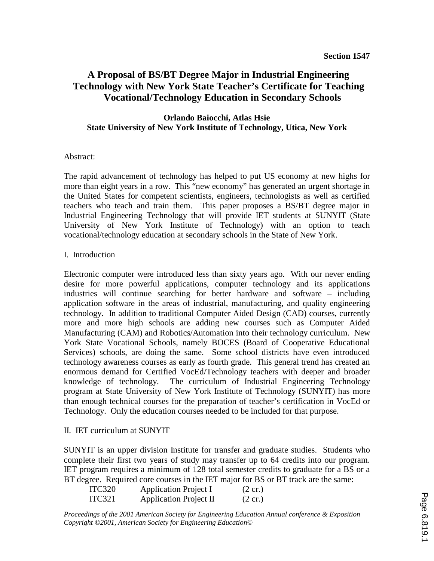# **A Proposal of BS/BT Degree Major in Industrial Engineering Technology with New York State Teacher's Certificate for Teaching Vocational/Technology Education in Secondary Schools**

### **Orlando Baiocchi, Atlas Hsie State University of New York Institute of Technology, Utica, New York**

#### Abstract:

The rapid advancement of technology has helped to put US economy at new highs for more than eight years in a row. This "new economy" has generated an urgent shortage in the United States for competent scientists, engineers, technologists as well as certified teachers who teach and train them. This paper proposes a BS/BT degree major in Industrial Engineering Technology that will provide IET students at SUNYIT (State University of New York Institute of Technology) with an option to teach vocational/technology education at secondary schools in the State of New York.

#### I. Introduction

Electronic computer were introduced less than sixty years ago. With our never ending desire for more powerful applications, computer technology and its applications industries will continue searching for better hardware and software – including application software in the areas of industrial, manufacturing, and quality engineering technology. In addition to traditional Computer Aided Design (CAD) courses, currently more and more high schools are adding new courses such as Computer Aided Manufacturing (CAM) and Robotics/Automation into their technology curriculum. New York State Vocational Schools, namely BOCES (Board of Cooperative Educational Services) schools, are doing the same. Some school districts have even introduced technology awareness courses as early as fourth grade. This general trend has created an enormous demand for Certified VocEd/Technology teachers with deeper and broader knowledge of technology. The curriculum of Industrial Engineering Technology program at State University of New York Institute of Technology (SUNYIT) has more than enough technical courses for the preparation of teacher's certification in VocEd or Technology. Only the education courses needed to be included for that purpose.

#### II. IET curriculum at SUNYIT

SUNYIT is an upper division Institute for transfer and graduate studies. Students who complete their first two years of study may transfer up to 64 credits into our program. IET program requires a minimum of 128 total semester credits to graduate for a BS or a BT degree. Required core courses in the IET major for BS or BT track are the same:

| <b>ITC320</b> | <b>Application Project I</b> | $(2 \text{ cr.})$ |
|---------------|------------------------------|-------------------|
| <b>ITC321</b> | Application Project II       | $(2 \text{ cr.})$ |

*Proceedings of the 2001 American Society for Engineering Education Annual conference & Exposition Copyright ©2001, American Society for Engineering Education©*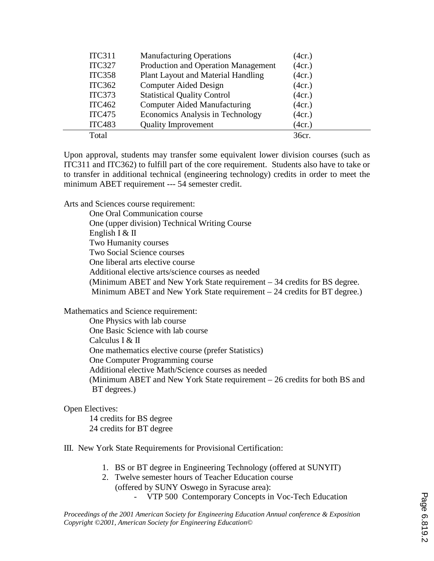| <b>ITC311</b> | <b>Manufacturing Operations</b>     | (4cr.) |
|---------------|-------------------------------------|--------|
| <b>ITC327</b> | Production and Operation Management | (4cr.) |
| <b>ITC358</b> | Plant Layout and Material Handling  | (4cr.) |
| <b>ITC362</b> | <b>Computer Aided Design</b>        | (4cr.) |
| <b>ITC373</b> | <b>Statistical Quality Control</b>  | (4cr.) |
| <b>ITC462</b> | <b>Computer Aided Manufacturing</b> | (4cr.) |
| <b>ITC475</b> | Economics Analysis in Technology    | (4cr.) |
| <b>ITC483</b> | <b>Quality Improvement</b>          | (4cr.) |
| Total         |                                     | 36cr.  |

Upon approval, students may transfer some equivalent lower division courses (such as ITC311 and ITC362) to fulfill part of the core requirement. Students also have to take or to transfer in additional technical (engineering technology) credits in order to meet the minimum ABET requirement --- 54 semester credit.

Arts and Sciences course requirement:

 One Oral Communication course One (upper division) Technical Writing Course English I & II Two Humanity courses Two Social Science courses One liberal arts elective course Additional elective arts/science courses as needed (Minimum ABET and New York State requirement – 34 credits for BS degree. Minimum ABET and New York State requirement – 24 credits for BT degree.)

Mathematics and Science requirement:

 One Physics with lab course One Basic Science with lab course Calculus I & II One mathematics elective course (prefer Statistics) One Computer Programming course Additional elective Math/Science courses as needed (Minimum ABET and New York State requirement – 26 credits for both BS and BT degrees.)

#### Open Electives:

 14 credits for BS degree 24 credits for BT degree

III. New York State Requirements for Provisional Certification:

- 1. BS or BT degree in Engineering Technology (offered at SUNYIT)
- 2. Twelve semester hours of Teacher Education course (offered by SUNY Oswego in Syracuse area):
	- VTP 500 Contemporary Concepts in Voc-Tech Education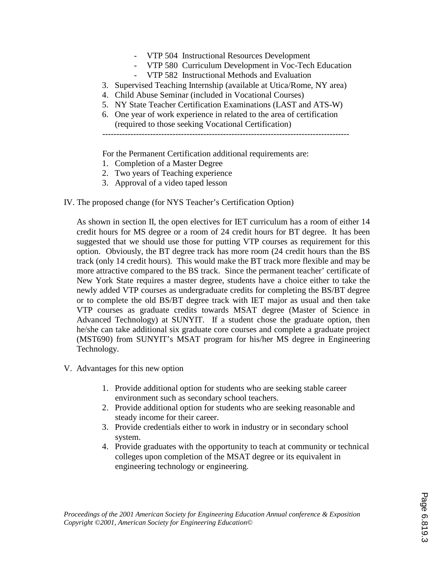- VTP 504 Instructional Resources Development
- VTP 580 Curriculum Development in Voc-Tech Education
- VTP 582 Instructional Methods and Evaluation
- 3. Supervised Teaching Internship (available at Utica/Rome, NY area)
- 4. Child Abuse Seminar (included in Vocational Courses)
- 5. NY State Teacher Certification Examinations (LAST and ATS-W)
- 6. One year of work experience in related to the area of certification (required to those seeking Vocational Certification)

----------------------------------------------------------------------------------------

For the Permanent Certification additional requirements are:

- 1. Completion of a Master Degree
- 2. Two years of Teaching experience
- 3. Approval of a video taped lesson
- IV. The proposed change (for NYS Teacher's Certification Option)

As shown in section II, the open electives for IET curriculum has a room of either 14 credit hours for MS degree or a room of 24 credit hours for BT degree. It has been suggested that we should use those for putting VTP courses as requirement for this option. Obviously, the BT degree track has more room (24 credit hours than the BS track (only 14 credit hours). This would make the BT track more flexible and may be more attractive compared to the BS track. Since the permanent teacher' certificate of New York State requires a master degree, students have a choice either to take the newly added VTP courses as undergraduate credits for completing the BS/BT degree or to complete the old BS/BT degree track with IET major as usual and then take VTP courses as graduate credits towards MSAT degree (Master of Science in Advanced Technology) at SUNYIT. If a student chose the graduate option, then he/she can take additional six graduate core courses and complete a graduate project (MST690) from SUNYIT's MSAT program for his/her MS degree in Engineering Technology.

- V. Advantages for this new option
	- 1. Provide additional option for students who are seeking stable career environment such as secondary school teachers.
	- 2. Provide additional option for students who are seeking reasonable and steady income for their career.
	- 3. Provide credentials either to work in industry or in secondary school system.
	- 4. Provide graduates with the opportunity to teach at community or technical colleges upon completion of the MSAT degree or its equivalent in engineering technology or engineering.